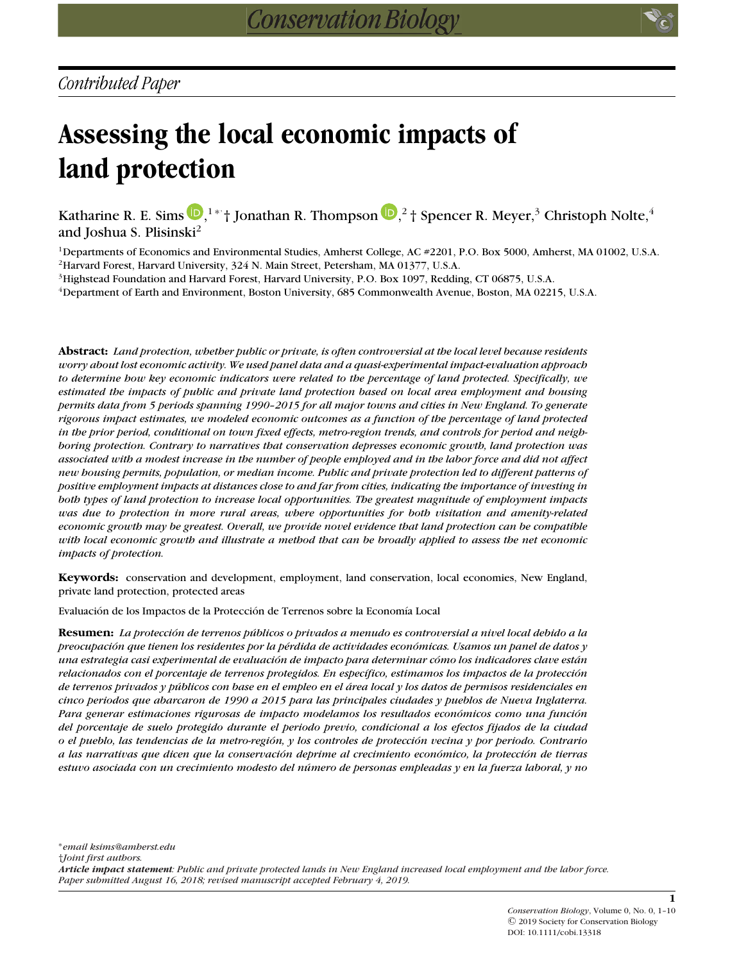# **Assessing the local economic impacts of land protection**

Katharine R. E. Sims  $\mathbf{D},^{1*}$  $\mathbf{D},^{1*}$  $\mathbf{D},^{1*}$ † Jonathan R. Thompson  $\mathbf{D},^2$ † Spencer R. Meyer, $^3$  Christoph Nolte, $^4$ and Joshua S. Plisinski<sup>2</sup>

1Departments of Economics and Environmental Studies, Amherst College, AC #2201, P.O. Box 5000, Amherst, MA 01002, U.S.A. 2Harvard Forest, Harvard University, 324 N. Main Street, Petersham, MA 01377, U.S.A.

3Highstead Foundation and Harvard Forest, Harvard University, P.O. Box 1097, Redding, CT 06875, U.S.A.

4Department of Earth and Environment, Boston University, 685 Commonwealth Avenue, Boston, MA 02215, U.S.A.

**Abstract:** *Land protection, whether public or private, is often controversial at the local level because residents worry about lost economic activity. We used panel data and a quasi-experimental impact-evaluation approach to determine how key economic indicators were related to the percentage of land protected. Specifically, we estimated the impacts of public and private land protection based on local area employment and housing permits data from 5 periods spanning 1990–2015 for all major towns and cities in New England. To generate rigorous impact estimates, we modeled economic outcomes as a function of the percentage of land protected in the prior period, conditional on town fixed effects, metro-region trends, and controls for period and neighboring protection. Contrary to narratives that conservation depresses economic growth, land protection was associated with a modest increase in the number of people employed and in the labor force and did not affect new housing permits, population, or median income. Public and private protection led to different patterns of positive employment impacts at distances close to and far from cities, indicating the importance of investing in both types of land protection to increase local opportunities. The greatest magnitude of employment impacts was due to protection in more rural areas, where opportunities for both visitation and amenity-related economic growth may be greatest. Overall, we provide novel evidence that land protection can be compatible with local economic growth and illustrate a method that can be broadly applied to assess the net economic impacts of protection.*

**Keywords:** conservation and development, employment, land conservation, local economies, New England, private land protection, protected areas

Evaluación de los Impactos de la Protección de Terrenos sobre la Economía Local

**Resumen:** *La proteccion de terrenos p ´ ublicos o privados a menudo es controversial a nivel local debido a la ´ preocupacion que tienen los residentes por la p ´ ´erdida de actividades economicas. Usamos un panel de datos y ´ una estrategia casi experimental de evaluacion de impacto para determinar c ´ omo los indicadores clave est ´ an´ relacionados con el porcentaje de terrenos protegidos. En espec´ıfico, estimamos los impactos de la proteccion´ de terrenos privados y publicos con base en el empleo en el ´ area local y los datos de permisos residenciales en ´ cinco periodos que abarcaron de 1990 a 2015 para las principales ciudades y pueblos de Nueva Inglaterra. Para generar estimaciones rigurosas de impacto modelamos los resultados economicos como una funci ´ on´ del porcentaje de suelo protegido durante el periodo previo, condicional a los efectos fijados de la ciudad o el pueblo, las tendencias de la metro-region, y los controles de protecci ´ on vecina y por periodo. Contrario ´ a las narrativas que dicen que la conservacion deprime al crecimiento econ ´ omico, la protecci ´ on de tierras ´ estuvo asociada con un crecimiento modesto del numero de personas empleadas y en la fuerza laboral, y no ´*

**1**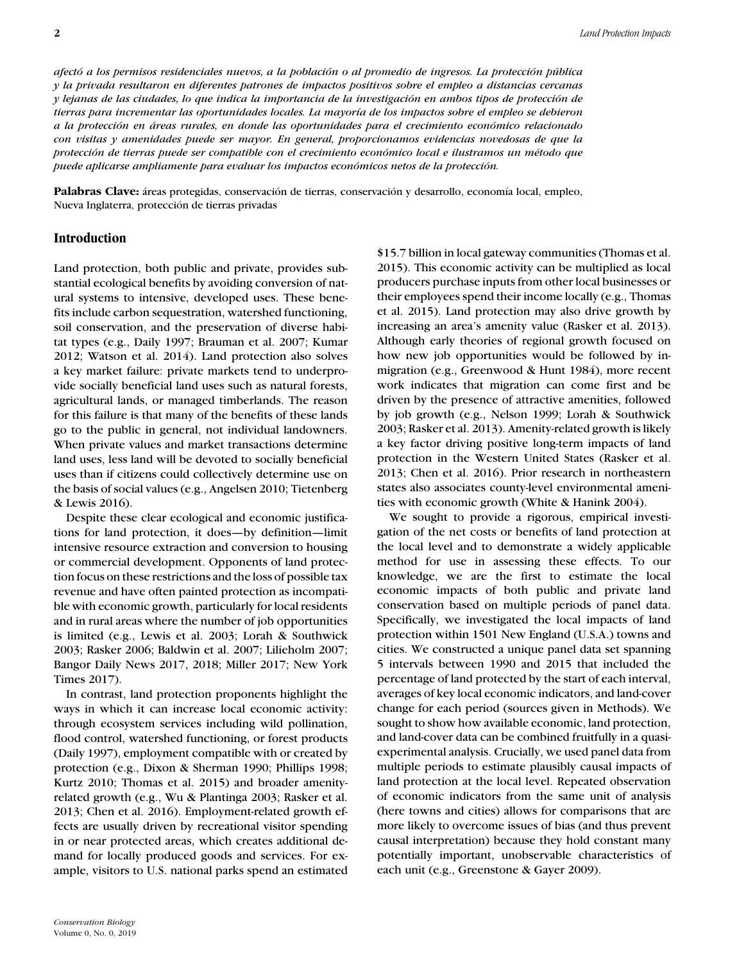*afecto a los permisos residenciales nuevos, a la poblaci ´ on o al promedio de ingresos. La protecci ´ on p ´ ublica ´ y la privada resultaron en diferentes patrones de impactos positivos sobre el empleo a distancias cercanas y lejanas de las ciudades, lo que indica la importancia de la investigacion en ambos tipos de protecci ´ on de ´ tierras para incrementar las oportunidades locales. La mayor´ıa de los impactos sobre el empleo se debieron a la proteccion en ´ areas rurales, en donde las oportunidades para el crecimiento econ ´ omico relacionado ´ con visitas y amenidades puede ser mayor. En general, proporcionamos evidencias novedosas de que la proteccion de tierras puede ser compatible con el crecimiento econ ´ omico local e ilustramos un m ´ ´etodo que puede aplicarse ampliamente para evaluar los impactos economicos netos de la protecci ´ on. ´*

Palabras Clave: áreas protegidas, conservación de tierras, conservación y desarrollo, economía local, empleo, Nueva Inglaterra, protección de tierras privadas

## **Introduction**

Land protection, both public and private, provides substantial ecological benefits by avoiding conversion of natural systems to intensive, developed uses. These benefits include carbon sequestration, watershed functioning, soil conservation, and the preservation of diverse habitat types (e.g., Daily 1997; Brauman et al. 2007; Kumar 2012; Watson et al. 2014). Land protection also solves a key market failure: private markets tend to underprovide socially beneficial land uses such as natural forests, agricultural lands, or managed timberlands. The reason for this failure is that many of the benefits of these lands go to the public in general, not individual landowners. When private values and market transactions determine land uses, less land will be devoted to socially beneficial uses than if citizens could collectively determine use on the basis of social values (e.g., Angelsen 2010; Tietenberg & Lewis 2016).

Despite these clear ecological and economic justifications for land protection, it does—by definition—limit intensive resource extraction and conversion to housing or commercial development. Opponents of land protection focus on these restrictions and the loss of possible tax revenue and have often painted protection as incompatible with economic growth, particularly for local residents and in rural areas where the number of job opportunities is limited (e.g., Lewis et al. 2003; Lorah & Southwick 2003; Rasker 2006; Baldwin et al. 2007; Lilieholm 2007; Bangor Daily News 2017, 2018; Miller 2017; New York Times 2017).

In contrast, land protection proponents highlight the ways in which it can increase local economic activity: through ecosystem services including wild pollination, flood control, watershed functioning, or forest products (Daily 1997), employment compatible with or created by protection (e.g., Dixon & Sherman 1990; Phillips 1998; Kurtz 2010; Thomas et al. 2015) and broader amenityrelated growth (e.g., Wu & Plantinga 2003; Rasker et al. 2013; Chen et al. 2016). Employment-related growth effects are usually driven by recreational visitor spending in or near protected areas, which creates additional demand for locally produced goods and services. For example, visitors to U.S. national parks spend an estimated \$15.7 billion in local gateway communities (Thomas et al. 2015). This economic activity can be multiplied as local producers purchase inputs from other local businesses or their employees spend their income locally (e.g., Thomas et al. 2015). Land protection may also drive growth by increasing an area's amenity value (Rasker et al. 2013). Although early theories of regional growth focused on how new job opportunities would be followed by inmigration (e.g., Greenwood & Hunt 1984), more recent work indicates that migration can come first and be driven by the presence of attractive amenities, followed by job growth (e.g., Nelson 1999; Lorah & Southwick 2003; Rasker et al. 2013). Amenity-related growth is likely a key factor driving positive long-term impacts of land protection in the Western United States (Rasker et al. 2013; Chen et al. 2016). Prior research in northeastern states also associates county-level environmental amenities with economic growth (White & Hanink 2004).

We sought to provide a rigorous, empirical investigation of the net costs or benefits of land protection at the local level and to demonstrate a widely applicable method for use in assessing these effects. To our knowledge, we are the first to estimate the local economic impacts of both public and private land conservation based on multiple periods of panel data. Specifically, we investigated the local impacts of land protection within 1501 New England (U.S.A.) towns and cities. We constructed a unique panel data set spanning 5 intervals between 1990 and 2015 that included the percentage of land protected by the start of each interval, averages of key local economic indicators, and land-cover change for each period (sources given in Methods). We sought to show how available economic, land protection, and land-cover data can be combined fruitfully in a quasiexperimental analysis. Crucially, we used panel data from multiple periods to estimate plausibly causal impacts of land protection at the local level. Repeated observation of economic indicators from the same unit of analysis (here towns and cities) allows for comparisons that are more likely to overcome issues of bias (and thus prevent causal interpretation) because they hold constant many potentially important, unobservable characteristics of each unit (e.g., Greenstone & Gayer 2009).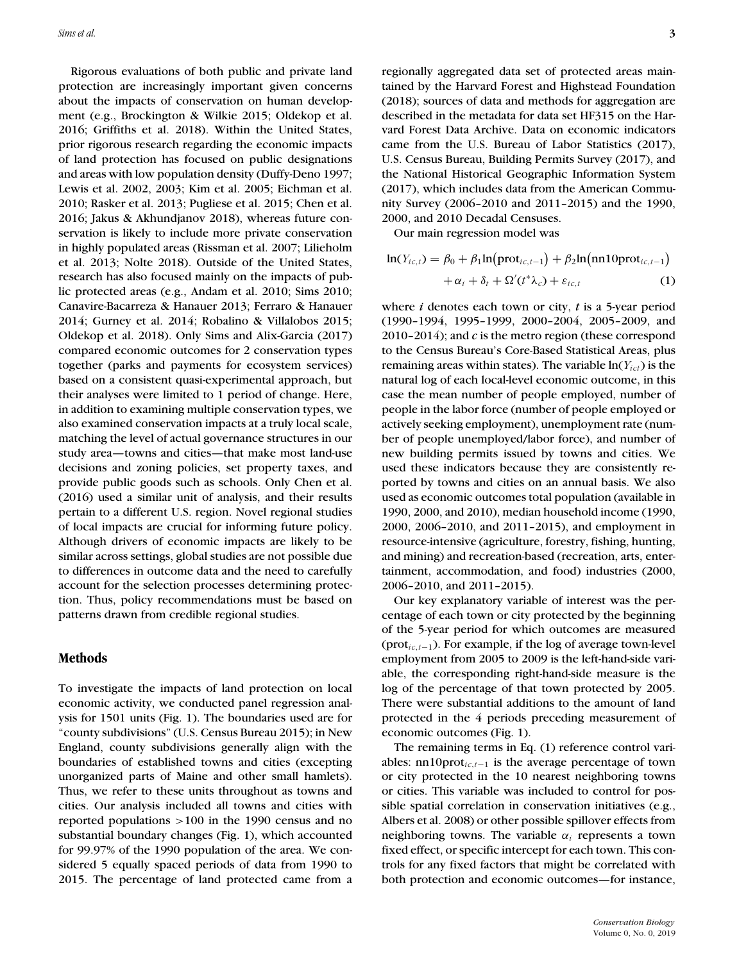Rigorous evaluations of both public and private land protection are increasingly important given concerns about the impacts of conservation on human development (e.g., Brockington & Wilkie 2015; Oldekop et al. 2016; Griffiths et al. 2018). Within the United States, prior rigorous research regarding the economic impacts of land protection has focused on public designations and areas with low population density (Duffy-Deno 1997; Lewis et al. 2002, 2003; Kim et al. 2005; Eichman et al. 2010; Rasker et al. 2013; Pugliese et al. 2015; Chen et al. 2016; Jakus & Akhundjanov 2018), whereas future conservation is likely to include more private conservation in highly populated areas (Rissman et al. 2007; Lilieholm et al. 2013; Nolte 2018). Outside of the United States, research has also focused mainly on the impacts of public protected areas (e.g., Andam et al. 2010; Sims 2010; Canavire-Bacarreza & Hanauer 2013; Ferraro & Hanauer 2014; Gurney et al. 2014; Robalino & Villalobos 2015; Oldekop et al. 2018). Only Sims and Alix-Garcia (2017) compared economic outcomes for 2 conservation types together (parks and payments for ecosystem services) based on a consistent quasi-experimental approach, but their analyses were limited to 1 period of change. Here, in addition to examining multiple conservation types, we also examined conservation impacts at a truly local scale, matching the level of actual governance structures in our study area—towns and cities—that make most land-use decisions and zoning policies, set property taxes, and provide public goods such as schools. Only Chen et al. (2016) used a similar unit of analysis, and their results pertain to a different U.S. region. Novel regional studies of local impacts are crucial for informing future policy. Although drivers of economic impacts are likely to be similar across settings, global studies are not possible due to differences in outcome data and the need to carefully account for the selection processes determining protection. Thus, policy recommendations must be based on patterns drawn from credible regional studies.

#### **Methods**

To investigate the impacts of land protection on local economic activity, we conducted panel regression analysis for 1501 units (Fig. 1). The boundaries used are for "county subdivisions" (U.S. Census Bureau 2015); in New England, county subdivisions generally align with the boundaries of established towns and cities (excepting unorganized parts of Maine and other small hamlets). Thus, we refer to these units throughout as towns and cities. Our analysis included all towns and cities with reported populations >100 in the 1990 census and no substantial boundary changes (Fig. 1), which accounted for 99.97% of the 1990 population of the area. We considered 5 equally spaced periods of data from 1990 to 2015. The percentage of land protected came from a

regionally aggregated data set of protected areas maintained by the Harvard Forest and Highstead Foundation (2018); sources of data and methods for aggregation are described in the metadata for data set HF315 on the Harvard Forest Data Archive. Data on economic indicators came from the U.S. Bureau of Labor Statistics (2017), U.S. Census Bureau, Building Permits Survey (2017), and the National Historical Geographic Information System (2017), which includes data from the American Community Survey (2006–2010 and 2011–2015) and the 1990, 2000, and 2010 Decadal Censuses.

Our main regression model was

$$
\ln(Y_{ic,t}) = \beta_0 + \beta_1 \ln(\text{prot}_{ic,t-1}) + \beta_2 \ln(\text{nn10prot}_{ic,t-1})
$$

$$
+ \alpha_i + \delta_t + \Omega'(t^* \lambda_c) + \varepsilon_{ic,t} \tag{1}
$$

where *i* denotes each town or city, *t* is a 5-year period (1990–1994, 1995–1999, 2000–2004, 2005–2009, and 2010–2014); and *c* is the metro region (these correspond to the Census Bureau's Core-Based Statistical Areas, plus remaining areas within states). The variable ln(*Yict*) is the natural log of each local-level economic outcome, in this case the mean number of people employed, number of people in the labor force (number of people employed or actively seeking employment), unemployment rate (number of people unemployed/labor force), and number of new building permits issued by towns and cities. We used these indicators because they are consistently reported by towns and cities on an annual basis. We also used as economic outcomes total population (available in 1990, 2000, and 2010), median household income (1990, 2000, 2006–2010, and 2011–2015), and employment in resource-intensive (agriculture, forestry, fishing, hunting, and mining) and recreation-based (recreation, arts, entertainment, accommodation, and food) industries (2000, 2006–2010, and 2011–2015).

Our key explanatory variable of interest was the percentage of each town or city protected by the beginning of the 5-year period for which outcomes are measured (prot*ic*,*t*−1). For example, if the log of average town-level employment from 2005 to 2009 is the left-hand-side variable, the corresponding right-hand-side measure is the log of the percentage of that town protected by 2005. There were substantial additions to the amount of land protected in the 4 periods preceding measurement of economic outcomes (Fig. 1).

The remaining terms in Eq. (1) reference control variables: nn10prot*ic*,*t*−<sup>1</sup> is the average percentage of town or city protected in the 10 nearest neighboring towns or cities. This variable was included to control for possible spatial correlation in conservation initiatives (e.g., Albers et al. 2008) or other possible spillover effects from neighboring towns. The variable  $\alpha_i$  represents a town fixed effect, or specific intercept for each town. This controls for any fixed factors that might be correlated with both protection and economic outcomes—for instance,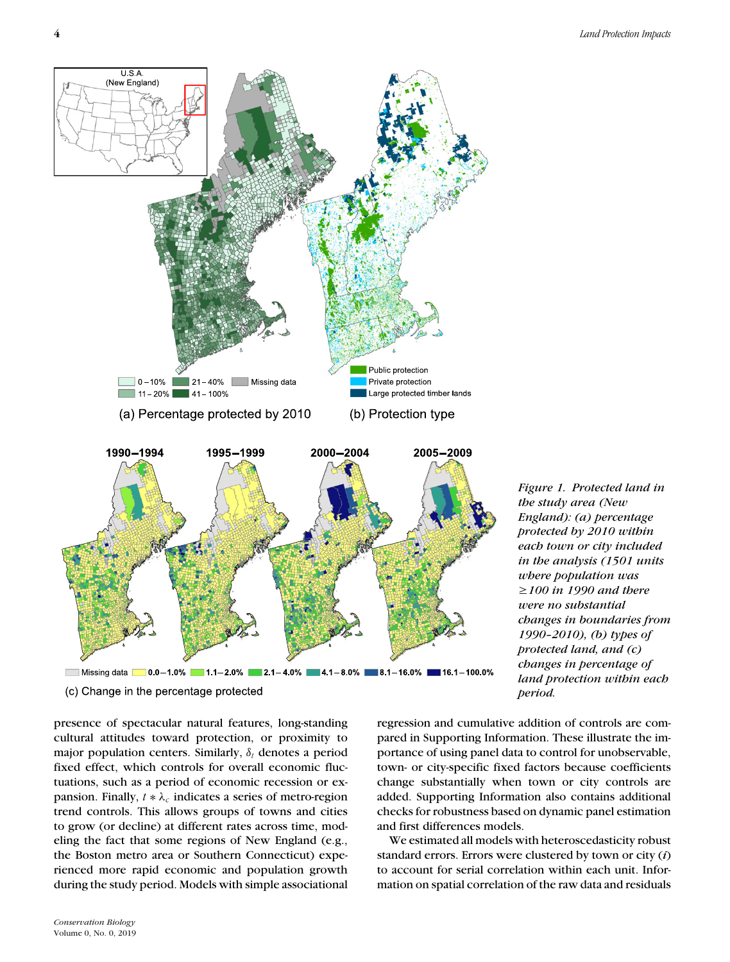*Figure 1. Protected land in the study area (New England): (a) percentage protected by 2010 within each town or city included in the analysis (1501 units where population was* -*100 in 1990 and there were no substantial*

*changes in boundaries from 1990–2010), (b) types of protected land, and (c) changes in percentage of land protection within each*

regression and cumulative addition of controls are compared in Supporting Information. These illustrate the importance of using panel data to control for unobservable, town- or city-specific fixed factors because coefficients change substantially when town or city controls are added. Supporting Information also contains additional checks for robustness based on dynamic panel estimation and first differences models.

*period.*

We estimated all models with heteroscedasticity robust standard errors. Errors were clustered by town or city (*i*) to account for serial correlation within each unit. Information on spatial correlation of the raw data and residuals



(c) Change in the percentage protected

presence of spectacular natural features, long-standing cultural attitudes toward protection, or proximity to major population centers. Similarly,  $\delta_t$  denotes a period fixed effect, which controls for overall economic fluctuations, such as a period of economic recession or expansion. Finally,  $t * \lambda_c$  indicates a series of metro-region trend controls. This allows groups of towns and cities to grow (or decline) at different rates across time, modeling the fact that some regions of New England (e.g., the Boston metro area or Southern Connecticut) experienced more rapid economic and population growth during the study period. Models with simple associational

USA (New England)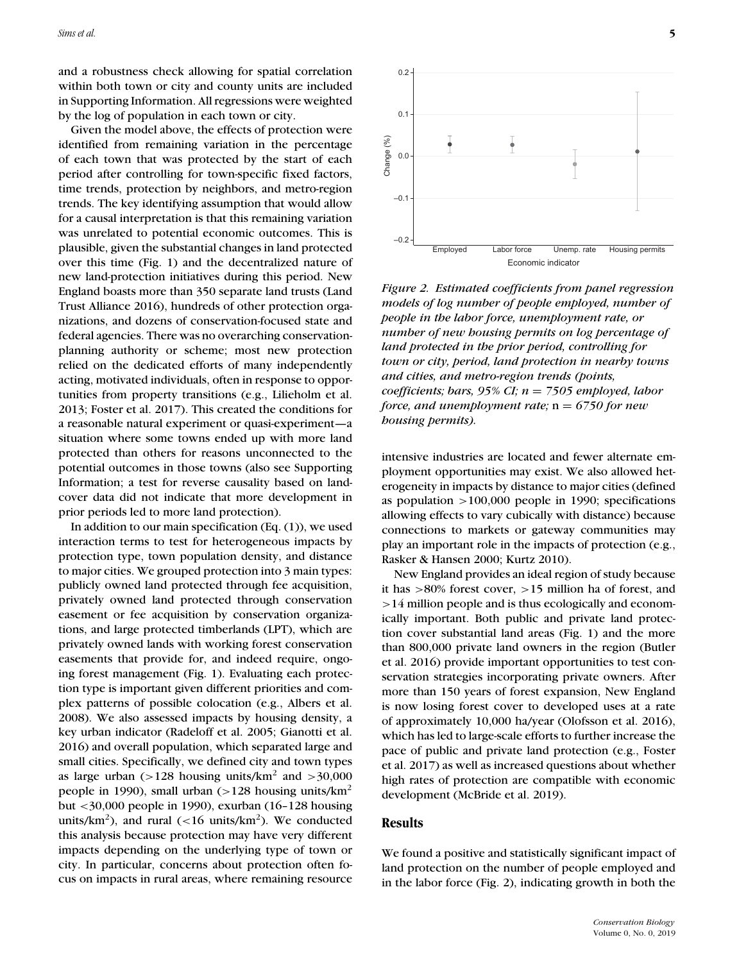and a robustness check allowing for spatial correlation within both town or city and county units are included in Supporting Information. All regressions were weighted by the log of population in each town or city.

Given the model above, the effects of protection were identified from remaining variation in the percentage of each town that was protected by the start of each period after controlling for town-specific fixed factors, time trends, protection by neighbors, and metro-region trends. The key identifying assumption that would allow for a causal interpretation is that this remaining variation was unrelated to potential economic outcomes. This is plausible, given the substantial changes in land protected over this time (Fig. 1) and the decentralized nature of new land-protection initiatives during this period. New England boasts more than 350 separate land trusts (Land Trust Alliance 2016), hundreds of other protection organizations, and dozens of conservation-focused state and federal agencies. There was no overarching conservationplanning authority or scheme; most new protection relied on the dedicated efforts of many independently acting, motivated individuals, often in response to opportunities from property transitions (e.g., Lilieholm et al. 2013; Foster et al. 2017). This created the conditions for a reasonable natural experiment or quasi-experiment—a situation where some towns ended up with more land protected than others for reasons unconnected to the potential outcomes in those towns (also see Supporting Information; a test for reverse causality based on landcover data did not indicate that more development in prior periods led to more land protection).

In addition to our main specification  $(Eq. (1))$ , we used interaction terms to test for heterogeneous impacts by protection type, town population density, and distance to major cities. We grouped protection into 3 main types: publicly owned land protected through fee acquisition, privately owned land protected through conservation easement or fee acquisition by conservation organizations, and large protected timberlands (LPT), which are privately owned lands with working forest conservation easements that provide for, and indeed require, ongoing forest management (Fig. 1). Evaluating each protection type is important given different priorities and complex patterns of possible colocation (e.g., Albers et al. 2008). We also assessed impacts by housing density, a key urban indicator (Radeloff et al. 2005; Gianotti et al. 2016) and overall population, which separated large and small cities. Specifically, we defined city and town types as large urban (>128 housing units/ $km^2$  and >30,000 people in 1990), small urban (>128 housing units/ $km<sup>2</sup>$ but <30,000 people in 1990), exurban (16–128 housing units/km<sup>2</sup>), and rural (<16 units/km<sup>2</sup>). We conducted this analysis because protection may have very different impacts depending on the underlying type of town or city. In particular, concerns about protection often focus on impacts in rural areas, where remaining resource



*Figure 2. Estimated coefficients from panel regression models of log number of people employed, number of people in the labor force, unemployment rate, or number of new housing permits on log percentage of land protected in the prior period, controlling for town or city, period, land protection in nearby towns and cities, and metro-region trends (points, coefficients; bars, 95% CI; n* = *7505 employed, labor force, and unemployment rate;* n = *6750 for new housing permits).*

intensive industries are located and fewer alternate employment opportunities may exist. We also allowed heterogeneity in impacts by distance to major cities (defined as population >100,000 people in 1990; specifications allowing effects to vary cubically with distance) because connections to markets or gateway communities may play an important role in the impacts of protection (e.g., Rasker & Hansen 2000; Kurtz 2010).

New England provides an ideal region of study because it has >80% forest cover, >15 million ha of forest, and >14 million people and is thus ecologically and economically important. Both public and private land protection cover substantial land areas (Fig. 1) and the more than 800,000 private land owners in the region (Butler et al. 2016) provide important opportunities to test conservation strategies incorporating private owners. After more than 150 years of forest expansion, New England is now losing forest cover to developed uses at a rate of approximately 10,000 ha/year (Olofsson et al. 2016), which has led to large-scale efforts to further increase the pace of public and private land protection (e.g., Foster et al. 2017) as well as increased questions about whether high rates of protection are compatible with economic development (McBride et al. 2019).

## **Results**

We found a positive and statistically significant impact of land protection on the number of people employed and in the labor force (Fig. 2), indicating growth in both the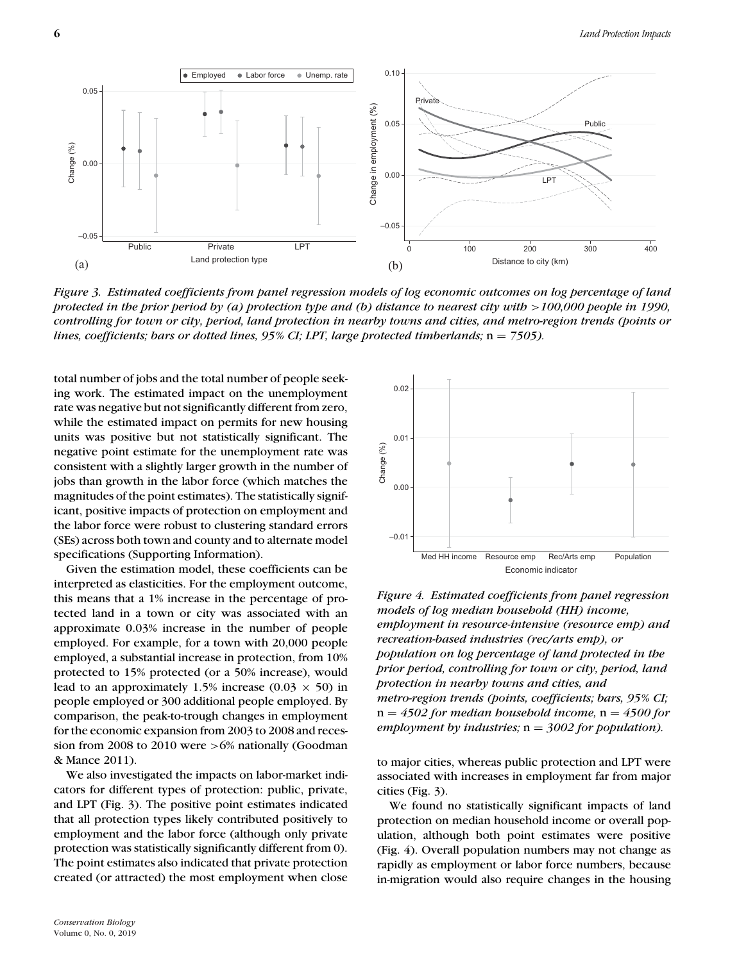

*Figure 3. Estimated coefficients from panel regression models of log economic outcomes on log percentage of land protected in the prior period by (a) protection type and (b) distance to nearest city with* > 100,000 people in 1990, *controlling for town or city, period, land protection in nearby towns and cities, and metro-region trends (points or lines, coefficients; bars or dotted lines, 95% CI; LPT, large protected timberlands;*  $n = 7505$ *).* 

total number of jobs and the total number of people seeking work. The estimated impact on the unemployment rate was negative but not significantly different from zero, while the estimated impact on permits for new housing units was positive but not statistically significant. The negative point estimate for the unemployment rate was consistent with a slightly larger growth in the number of jobs than growth in the labor force (which matches the magnitudes of the point estimates). The statistically significant, positive impacts of protection on employment and the labor force were robust to clustering standard errors (SEs) across both town and county and to alternate model specifications (Supporting Information).

Given the estimation model, these coefficients can be interpreted as elasticities. For the employment outcome, this means that a 1% increase in the percentage of protected land in a town or city was associated with an approximate 0.03% increase in the number of people employed. For example, for a town with 20,000 people employed, a substantial increase in protection, from 10% protected to 15% protected (or a 50% increase), would lead to an approximately 1.5% increase (0.03  $\times$  50) in people employed or 300 additional people employed. By comparison, the peak-to-trough changes in employment for the economic expansion from 2003 to 2008 and recession from 2008 to 2010 were  $>6\%$  nationally (Goodman & Mance 2011).

We also investigated the impacts on labor-market indicators for different types of protection: public, private, and LPT (Fig. 3). The positive point estimates indicated that all protection types likely contributed positively to employment and the labor force (although only private protection was statistically significantly different from 0). The point estimates also indicated that private protection created (or attracted) the most employment when close



*Figure 4. Estimated coefficients from panel regression models of log median household (HH) income, employment in resource-intensive (resource emp) and recreation-based industries (rec/arts emp), or population on log percentage of land protected in the prior period, controlling for town or city, period, land protection in nearby towns and cities, and metro-region trends (points, coefficients; bars, 95% CI;* n = *4502 for median household income,* n = *4500 for employment by industries;* n = *3002 for population).*

to major cities, whereas public protection and LPT were associated with increases in employment far from major cities (Fig. 3).

We found no statistically significant impacts of land protection on median household income or overall population, although both point estimates were positive (Fig. 4). Overall population numbers may not change as rapidly as employment or labor force numbers, because in-migration would also require changes in the housing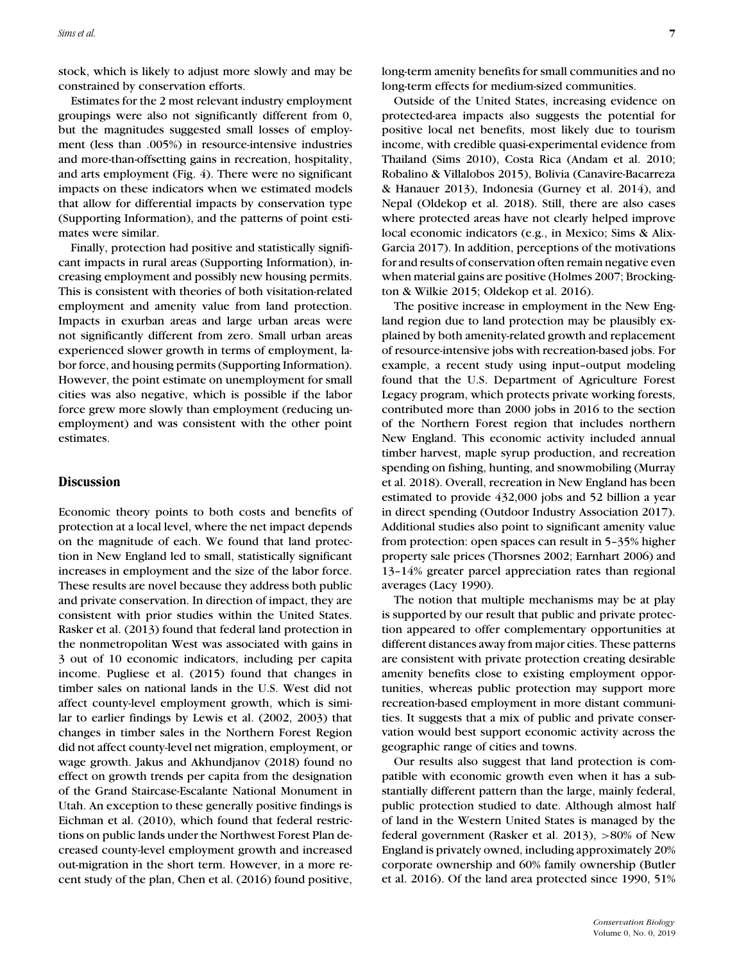stock, which is likely to adjust more slowly and may be constrained by conservation efforts.

Estimates for the 2 most relevant industry employment groupings were also not significantly different from 0, but the magnitudes suggested small losses of employment (less than .005%) in resource-intensive industries and more-than-offsetting gains in recreation, hospitality, and arts employment (Fig. 4). There were no significant impacts on these indicators when we estimated models that allow for differential impacts by conservation type (Supporting Information), and the patterns of point estimates were similar.

Finally, protection had positive and statistically significant impacts in rural areas (Supporting Information), increasing employment and possibly new housing permits. This is consistent with theories of both visitation-related employment and amenity value from land protection. Impacts in exurban areas and large urban areas were not significantly different from zero. Small urban areas experienced slower growth in terms of employment, labor force, and housing permits (Supporting Information). However, the point estimate on unemployment for small cities was also negative, which is possible if the labor force grew more slowly than employment (reducing unemployment) and was consistent with the other point estimates.

## **Discussion**

Economic theory points to both costs and benefits of protection at a local level, where the net impact depends on the magnitude of each. We found that land protection in New England led to small, statistically significant increases in employment and the size of the labor force. These results are novel because they address both public and private conservation. In direction of impact, they are consistent with prior studies within the United States. Rasker et al. (2013) found that federal land protection in the nonmetropolitan West was associated with gains in 3 out of 10 economic indicators, including per capita income. Pugliese et al. (2015) found that changes in timber sales on national lands in the U.S. West did not affect county-level employment growth, which is similar to earlier findings by Lewis et al. (2002, 2003) that changes in timber sales in the Northern Forest Region did not affect county-level net migration, employment, or wage growth. Jakus and Akhundjanov (2018) found no effect on growth trends per capita from the designation of the Grand Staircase-Escalante National Monument in Utah. An exception to these generally positive findings is Eichman et al. (2010), which found that federal restrictions on public lands under the Northwest Forest Plan decreased county-level employment growth and increased out-migration in the short term. However, in a more recent study of the plan, Chen et al. (2016) found positive, long-term amenity benefits for small communities and no long-term effects for medium-sized communities.

Outside of the United States, increasing evidence on protected-area impacts also suggests the potential for positive local net benefits, most likely due to tourism income, with credible quasi-experimental evidence from Thailand (Sims 2010), Costa Rica (Andam et al. 2010; Robalino & Villalobos 2015), Bolivia (Canavire-Bacarreza & Hanauer 2013), Indonesia (Gurney et al. 2014), and Nepal (Oldekop et al. 2018). Still, there are also cases where protected areas have not clearly helped improve local economic indicators (e.g., in Mexico; Sims & Alix-Garcia 2017). In addition, perceptions of the motivations for and results of conservation often remain negative even when material gains are positive (Holmes 2007; Brockington & Wilkie 2015; Oldekop et al. 2016).

The positive increase in employment in the New England region due to land protection may be plausibly explained by both amenity-related growth and replacement of resource-intensive jobs with recreation-based jobs. For example, a recent study using input–output modeling found that the U.S. Department of Agriculture Forest Legacy program, which protects private working forests, contributed more than 2000 jobs in 2016 to the section of the Northern Forest region that includes northern New England. This economic activity included annual timber harvest, maple syrup production, and recreation spending on fishing, hunting, and snowmobiling (Murray et al. 2018). Overall, recreation in New England has been estimated to provide 432,000 jobs and 52 billion a year in direct spending (Outdoor Industry Association 2017). Additional studies also point to significant amenity value from protection: open spaces can result in 5–35% higher property sale prices (Thorsnes 2002; Earnhart 2006) and 13–14% greater parcel appreciation rates than regional averages (Lacy 1990).

The notion that multiple mechanisms may be at play is supported by our result that public and private protection appeared to offer complementary opportunities at different distances away from major cities. These patterns are consistent with private protection creating desirable amenity benefits close to existing employment opportunities, whereas public protection may support more recreation-based employment in more distant communities. It suggests that a mix of public and private conservation would best support economic activity across the geographic range of cities and towns.

Our results also suggest that land protection is compatible with economic growth even when it has a substantially different pattern than the large, mainly federal, public protection studied to date. Although almost half of land in the Western United States is managed by the federal government (Rasker et al. 2013), >80% of New England is privately owned, including approximately 20% corporate ownership and 60% family ownership (Butler et al. 2016). Of the land area protected since 1990, 51%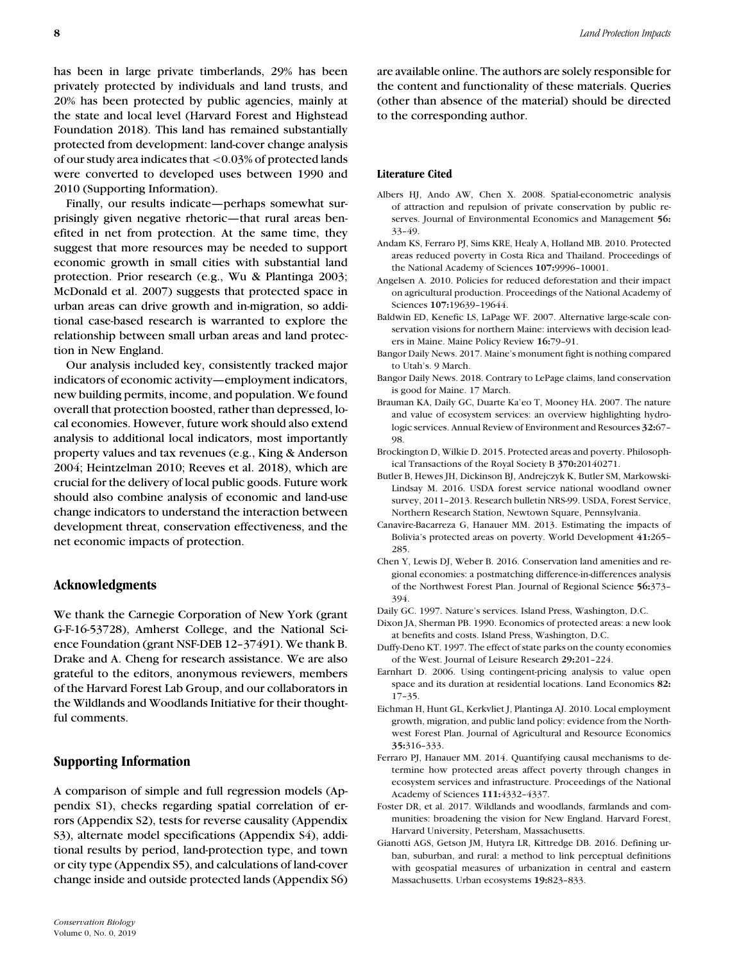has been in large private timberlands, 29% has been privately protected by individuals and land trusts, and 20% has been protected by public agencies, mainly at the state and local level (Harvard Forest and Highstead Foundation 2018). This land has remained substantially protected from development: land-cover change analysis of our study area indicates that <0.03% of protected lands were converted to developed uses between 1990 and 2010 (Supporting Information).

Finally, our results indicate—perhaps somewhat surprisingly given negative rhetoric—that rural areas benefited in net from protection. At the same time, they suggest that more resources may be needed to support economic growth in small cities with substantial land protection. Prior research (e.g., Wu & Plantinga 2003; McDonald et al. 2007) suggests that protected space in urban areas can drive growth and in-migration, so additional case-based research is warranted to explore the relationship between small urban areas and land protection in New England.

Our analysis included key, consistently tracked major indicators of economic activity—employment indicators, new building permits, income, and population. We found overall that protection boosted, rather than depressed, local economies. However, future work should also extend analysis to additional local indicators, most importantly property values and tax revenues (e.g., King & Anderson 2004; Heintzelman 2010; Reeves et al. 2018), which are crucial for the delivery of local public goods. Future work should also combine analysis of economic and land-use change indicators to understand the interaction between development threat, conservation effectiveness, and the net economic impacts of protection.

#### **Acknowledgments**

We thank the Carnegie Corporation of New York (grant G-F-16-53728), Amherst College, and the National Science Foundation (grant NSF-DEB 12–37491). We thank B. Drake and A. Cheng for research assistance. We are also grateful to the editors, anonymous reviewers, members of the Harvard Forest Lab Group, and our collaborators in the Wildlands and Woodlands Initiative for their thoughtful comments.

# **Supporting Information**

A comparison of simple and full regression models (Appendix S1), checks regarding spatial correlation of errors (Appendix S2), tests for reverse causality (Appendix S3), alternate model specifications (Appendix S4), additional results by period, land-protection type, and town or city type (Appendix S5), and calculations of land-cover change inside and outside protected lands (Appendix S6)

are available online. The authors are solely responsible for the content and functionality of these materials. Queries (other than absence of the material) should be directed to the corresponding author.

#### **Literature Cited**

- Albers HJ, Ando AW, Chen X. 2008. Spatial-econometric analysis of attraction and repulsion of private conservation by public reserves. Journal of Environmental Economics and Management **56:** 33–49.
- Andam KS, Ferraro PJ, Sims KRE, Healy A, Holland MB. 2010. Protected areas reduced poverty in Costa Rica and Thailand. Proceedings of the National Academy of Sciences **107:**9996–10001.
- Angelsen A. 2010. Policies for reduced deforestation and their impact on agricultural production. Proceedings of the National Academy of Sciences **107:**19639–19644.
- Baldwin ED, Kenefic LS, LaPage WF. 2007. Alternative large-scale conservation visions for northern Maine: interviews with decision leaders in Maine. Maine Policy Review **16:**79–91.
- Bangor Daily News. 2017. Maine's monument fight is nothing compared to Utah's. 9 March.
- Bangor Daily News. 2018. Contrary to LePage claims, land conservation is good for Maine. 17 March.
- Brauman KA, Daily GC, Duarte Ka'eo T, Mooney HA. 2007. The nature and value of ecosystem services: an overview highlighting hydrologic services. Annual Review of Environment and Resources **32:**67– 98.
- Brockington D, Wilkie D. 2015. Protected areas and poverty. Philosophical Transactions of the Royal Society B **370:**20140271.
- Butler B, Hewes JH, Dickinson BJ, Andrejczyk K, Butler SM, Markowski-Lindsay M. 2016. USDA forest service national woodland owner survey, 2011–2013. Research bulletin NRS-99. USDA, Forest Service, Northern Research Station, Newtown Square, Pennsylvania.
- Canavire-Bacarreza G, Hanauer MM. 2013. Estimating the impacts of Bolivia's protected areas on poverty. World Development **41:**265– 285.
- Chen Y, Lewis DJ, Weber B. 2016. Conservation land amenities and regional economies: a postmatching difference-in-differences analysis of the Northwest Forest Plan. Journal of Regional Science **56:**373– 394.
- Daily GC. 1997. Nature's services. Island Press, Washington, D.C.
- Dixon JA, Sherman PB. 1990. Economics of protected areas: a new look at benefits and costs. Island Press, Washington, D.C.
- Duffy-Deno KT. 1997. The effect of state parks on the county economies of the West. Journal of Leisure Research **29:**201–224.
- Earnhart D. 2006. Using contingent-pricing analysis to value open space and its duration at residential locations. Land Economics **82:** 17–35.
- Eichman H, Hunt GL, Kerkvliet J, Plantinga AJ. 2010. Local employment growth, migration, and public land policy: evidence from the Northwest Forest Plan. Journal of Agricultural and Resource Economics **35:**316–333.
- Ferraro PJ, Hanauer MM. 2014. Quantifying causal mechanisms to determine how protected areas affect poverty through changes in ecosystem services and infrastructure. Proceedings of the National Academy of Sciences **111:**4332–4337.
- Foster DR, et al. 2017. Wildlands and woodlands, farmlands and communities: broadening the vision for New England. Harvard Forest, Harvard University, Petersham, Massachusetts.
- Gianotti AGS, Getson JM, Hutyra LR, Kittredge DB. 2016. Defining urban, suburban, and rural: a method to link perceptual definitions with geospatial measures of urbanization in central and eastern Massachusetts. Urban ecosystems **19:**823–833.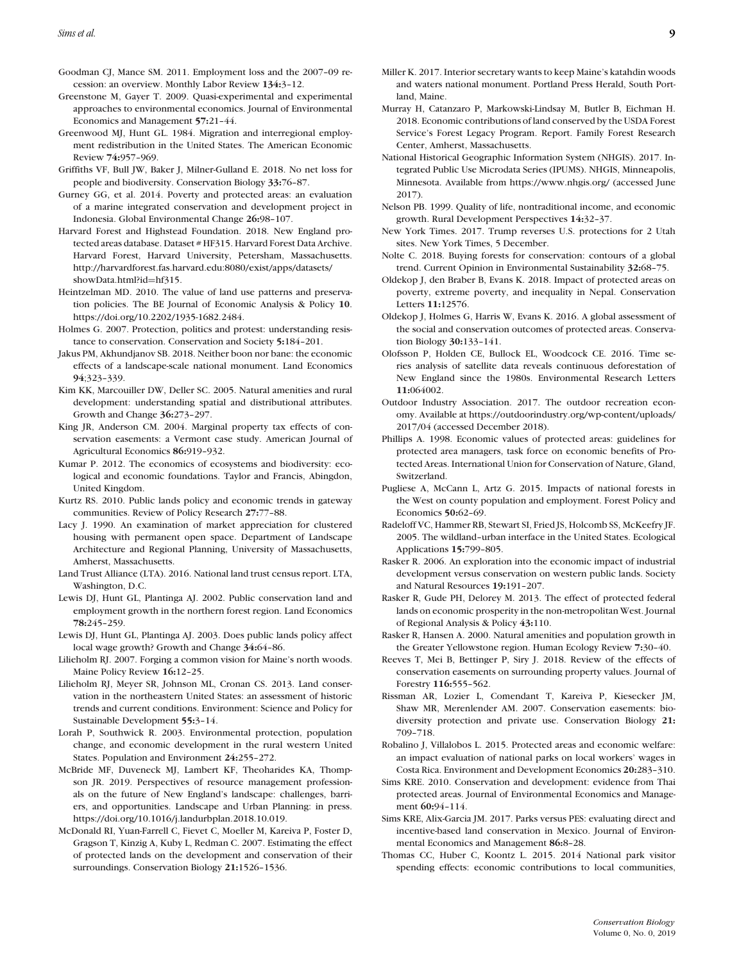- Goodman CJ, Mance SM. 2011. Employment loss and the 2007–09 recession: an overview. Monthly Labor Review **134:**3–12.
- Greenstone M, Gayer T. 2009. Quasi-experimental and experimental approaches to environmental economics. Journal of Environmental Economics and Management **57:**21–44.
- Greenwood MJ, Hunt GL. 1984. Migration and interregional employment redistribution in the United States. The American Economic Review **74:**957–969.
- Griffiths VF, Bull JW, Baker J, Milner-Gulland E. 2018. No net loss for people and biodiversity. Conservation Biology **33:**76–87.
- Gurney GG, et al. 2014. Poverty and protected areas: an evaluation of a marine integrated conservation and development project in Indonesia. Global Environmental Change **26:**98–107.
- Harvard Forest and Highstead Foundation. 2018. New England protected areas database. Dataset # HF315. Harvard Forest Data Archive. Harvard Forest, Harvard University, Petersham, Massachusetts. [http://harvardforest.fas.harvard.edu:8080/exist/apps/datasets/](http://harvardforest.fas.harvard.edu:8080/exist/apps/datasets/showData.html?id=hf315) [showData.html?id](http://harvardforest.fas.harvard.edu:8080/exist/apps/datasets/showData.html?id=hf315)=hf315.
- Heintzelman MD. 2010. The value of land use patterns and preservation policies. The BE Journal of Economic Analysis & Policy **10**. [https://doi.org/10.2202/1935-1682.2484.](https://doi.org/10.2202/1935-1682.2484)
- Holmes G. 2007. Protection, politics and protest: understanding resistance to conservation. Conservation and Society **5:**184–201.
- Jakus PM, Akhundjanov SB. 2018. Neither boon nor bane: the economic effects of a landscape-scale national monument. Land Economics **94**;323–339.
- Kim KK, Marcouiller DW, Deller SC. 2005. Natural amenities and rural development: understanding spatial and distributional attributes. Growth and Change **36:**273–297.
- King JR, Anderson CM. 2004. Marginal property tax effects of conservation easements: a Vermont case study. American Journal of Agricultural Economics **86:**919–932.
- Kumar P. 2012. The economics of ecosystems and biodiversity: ecological and economic foundations. Taylor and Francis, Abingdon, United Kingdom.
- Kurtz RS. 2010. Public lands policy and economic trends in gateway communities. Review of Policy Research **27:**77–88.
- Lacy J. 1990. An examination of market appreciation for clustered housing with permanent open space. Department of Landscape Architecture and Regional Planning, University of Massachusetts, Amherst, Massachusetts.
- Land Trust Alliance (LTA). 2016. National land trust census report. LTA, Washington, D.C.
- Lewis DJ, Hunt GL, Plantinga AJ. 2002. Public conservation land and employment growth in the northern forest region. Land Economics **78:**245–259.
- Lewis DJ, Hunt GL, Plantinga AJ. 2003. Does public lands policy affect local wage growth? Growth and Change **34:**64–86.
- Lilieholm RJ. 2007. Forging a common vision for Maine's north woods. Maine Policy Review **16:**12–25.
- Lilieholm RJ, Meyer SR, Johnson ML, Cronan CS. 2013. Land conservation in the northeastern United States: an assessment of historic trends and current conditions. Environment: Science and Policy for Sustainable Development **55:**3–14.
- Lorah P, Southwick R. 2003. Environmental protection, population change, and economic development in the rural western United States. Population and Environment **24:**255–272.
- McBride MF, Duveneck MJ, Lambert KF, Theoharides KA, Thompson JR. 2019. Perspectives of resource management professionals on the future of New England's landscape: challenges, barriers, and opportunities. Landscape and Urban Planning: in press. [https://doi.org/10.1016/j.landurbplan.2018.10.019.](https://doi.org/10.1016/j.landurbplan.2018.10.019)
- McDonald RI, Yuan-Farrell C, Fievet C, Moeller M, Kareiva P, Foster D, Gragson T, Kinzig A, Kuby L, Redman C. 2007. Estimating the effect of protected lands on the development and conservation of their surroundings. Conservation Biology **21:**1526–1536.
- Miller K. 2017. Interior secretary wants to keep Maine's katahdin woods and waters national monument. Portland Press Herald, South Portland, Maine.
- Murray H, Catanzaro P, Markowski-Lindsay M, Butler B, Eichman H. 2018. Economic contributions of land conserved by the USDA Forest Service's Forest Legacy Program. Report. Family Forest Research Center, Amherst, Massachusetts.
- National Historical Geographic Information System (NHGIS). 2017. Integrated Public Use Microdata Series (IPUMS). NHGIS, Minneapolis, Minnesota. Available from<https://www.nhgis.org/> (accessed June 2017).
- Nelson PB. 1999. Quality of life, nontraditional income, and economic growth. Rural Development Perspectives **14:**32–37.
- New York Times. 2017. Trump reverses U.S. protections for 2 Utah sites. New York Times, 5 December.
- Nolte C. 2018. Buying forests for conservation: contours of a global trend. Current Opinion in Environmental Sustainability **32:**68–75.
- Oldekop J, den Braber B, Evans K. 2018. Impact of protected areas on poverty, extreme poverty, and inequality in Nepal. Conservation Letters **11:**12576.
- Oldekop J, Holmes G, Harris W, Evans K. 2016. A global assessment of the social and conservation outcomes of protected areas. Conservation Biology **30:**133–141.
- Olofsson P, Holden CE, Bullock EL, Woodcock CE. 2016. Time series analysis of satellite data reveals continuous deforestation of New England since the 1980s. Environmental Research Letters **11:**064002.
- Outdoor Industry Association. 2017. The outdoor recreation economy. Available at [https://outdoorindustry.org/wp-content/uploads/](https://outdoorindustry.org/wp-content/uploads/2017/04) [2017/04](https://outdoorindustry.org/wp-content/uploads/2017/04) (accessed December 2018).
- Phillips A. 1998. Economic values of protected areas: guidelines for protected area managers, task force on economic benefits of Protected Areas. International Union for Conservation of Nature, Gland, Switzerland.
- Pugliese A, McCann L, Artz G. 2015. Impacts of national forests in the West on county population and employment. Forest Policy and Economics **50:**62–69.
- Radeloff VC, Hammer RB, Stewart SI, Fried JS, Holcomb SS, McKeefry JF. 2005. The wildland–urban interface in the United States. Ecological Applications **15:**799–805.
- Rasker R. 2006. An exploration into the economic impact of industrial development versus conservation on western public lands. Society and Natural Resources **19:**191–207.
- Rasker R, Gude PH, Delorey M. 2013. The effect of protected federal lands on economic prosperity in the non-metropolitan West. Journal of Regional Analysis & Policy **43:**110.
- Rasker R, Hansen A. 2000. Natural amenities and population growth in the Greater Yellowstone region. Human Ecology Review **7:**30–40.
- Reeves T, Mei B, Bettinger P, Siry J. 2018. Review of the effects of conservation easements on surrounding property values. Journal of Forestry **116:**555–562.
- Rissman AR, Lozier L, Comendant T, Kareiva P, Kiesecker JM, Shaw MR, Merenlender AM. 2007. Conservation easements: biodiversity protection and private use. Conservation Biology **21:** 709–718.
- Robalino J, Villalobos L. 2015. Protected areas and economic welfare: an impact evaluation of national parks on local workers' wages in Costa Rica. Environment and Development Economics **20:**283–310.
- Sims KRE. 2010. Conservation and development: evidence from Thai protected areas. Journal of Environmental Economics and Management **60:**94–114.
- Sims KRE, Alix-Garcia JM. 2017. Parks versus PES: evaluating direct and incentive-based land conservation in Mexico. Journal of Environmental Economics and Management **86:**8–28.
- Thomas CC, Huber C, Koontz L. 2015. 2014 National park visitor spending effects: economic contributions to local communities,